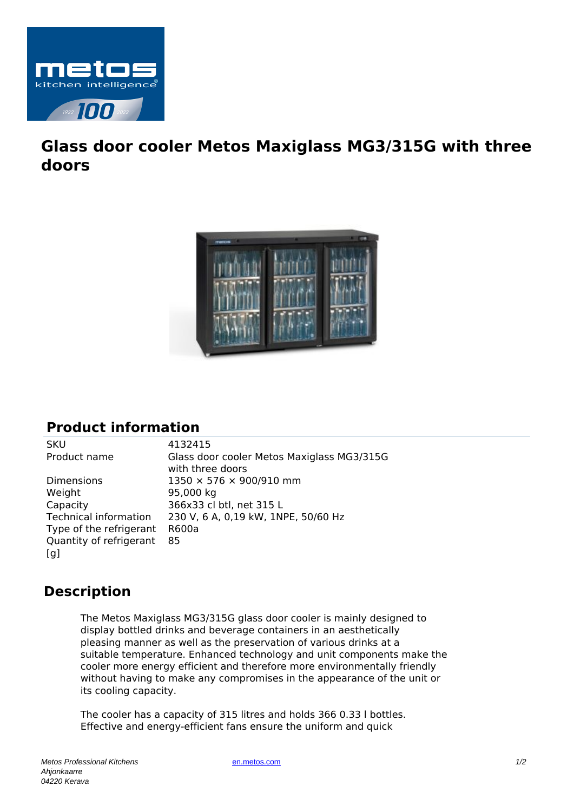

## **Glass door cooler Metos Maxiglass MG3/315G with three doors**



## **Product information**

Dimensions 1350 × 576 × 900/910 mm Weight 95,000 kg Capacity 366x33 cl btl, net 315 L Type of the refrigerant R600a Quantity of refrigerant [g] 85

SKU 4132415 Product name Glass door cooler Metos Maxiglass MG3/315G with three doors Technical information 230 V, 6 A, 0,19 kW, 1NPE, 50/60 Hz

## **Description**

The Metos Maxiglass MG3/315G glass door cooler is mainly designed to display bottled drinks and beverage containers in an aesthetically pleasing manner as well as the preservation of various drinks at a suitable temperature. Enhanced technology and unit components make the cooler more energy efficient and therefore more environmentally friendly without having to make any compromises in the appearance of the unit or its cooling capacity.

The cooler has a capacity of 315 litres and holds 366 0.33 l bottles. Effective and energy-efficient fans ensure the uniform and quick